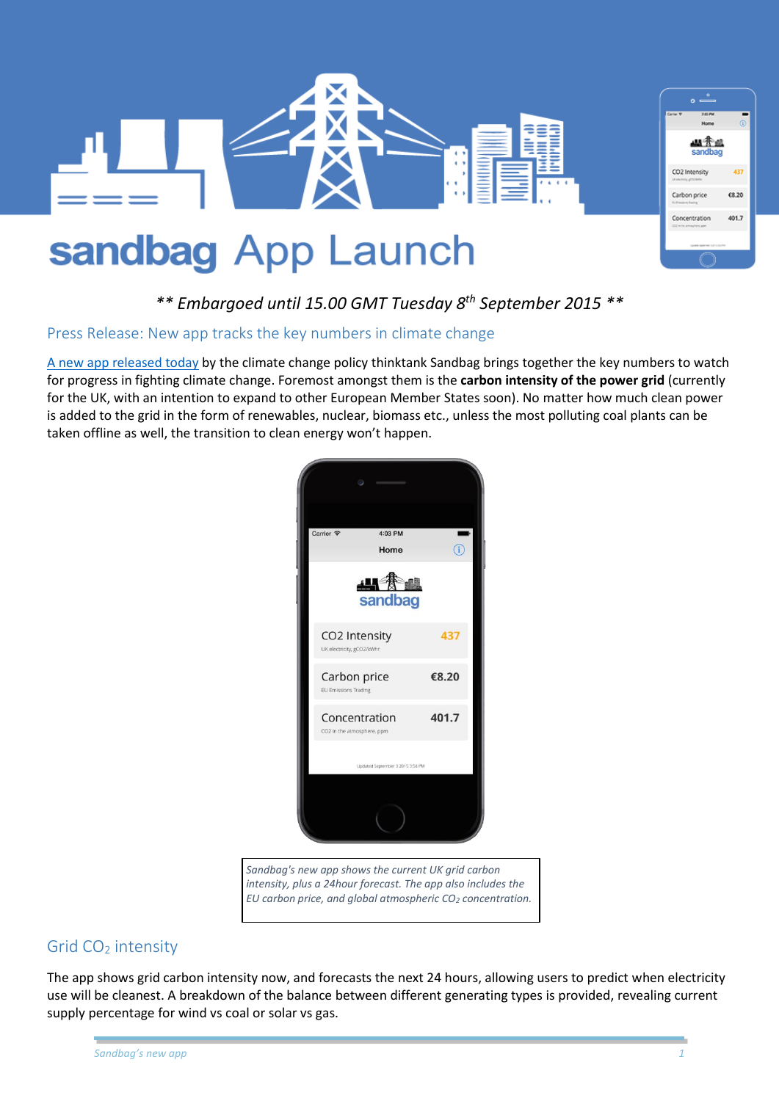

# *\*\* Embargoed until 15.00 GMT Tuesday 8th September 2015 \*\**

#### Press Release: New app tracks the key numbers in climate change

[A new app released today](https://www.theccc.org.uk/charts-data/ukemissions-by-sector/power/) by the climate change policy thinktank Sandbag brings together the key numbers to watch for progress in fighting climate change. Foremost amongst them is the **carbon intensity of the power grid** (currently for the UK, with an intention to expand to other European Member States soon). No matter how much clean power is added to the grid in the form of renewables, nuclear, biomass etc., unless the most polluting coal plants can be taken offline as well, the transition to clean energy won't happen.



*Sandbag's new app shows the current UK grid carbon intensity, plus a 24hour forecast. The app also includes the EU carbon price, and global atmospheric CO<sup>2</sup> concentration.*

#### Grid CO<sub>2</sub> intensity

The app shows grid carbon intensity now, and forecasts the next 24 hours, allowing users to predict when electricity use will be cleanest. A breakdown of the balance between different generating types is provided, revealing current supply percentage for wind vs coal or solar vs gas.